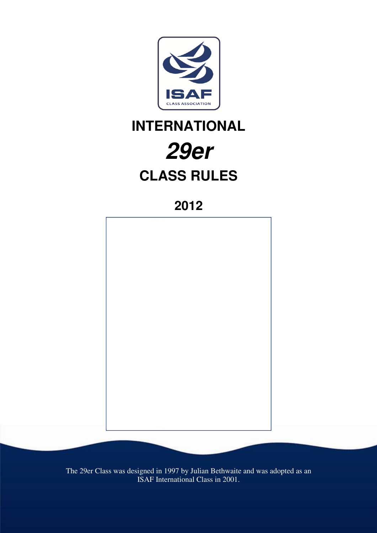

# **INTERNATIONAL 29er CLASS RULES**

**2012** 



The 29er Class was designed in 1997 by Julian Bethwaite and was adopted as an ISAF International Class in 2001.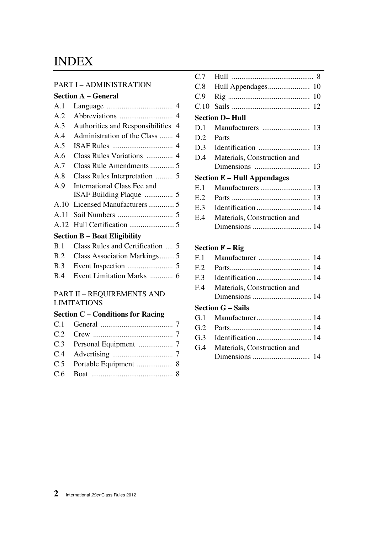# INDEX

#### PART I – ADMINISTRATION

## **Section A – General**

| A.1                                 |                                      |  |
|-------------------------------------|--------------------------------------|--|
| A.2                                 |                                      |  |
| A.3                                 | Authorities and Responsibilities 4   |  |
| A.4                                 |                                      |  |
| A.5                                 |                                      |  |
| A.6                                 |                                      |  |
| A.7                                 |                                      |  |
| A.8                                 |                                      |  |
| A.9                                 | International Class Fee and          |  |
|                                     |                                      |  |
|                                     |                                      |  |
| A.11                                |                                      |  |
|                                     |                                      |  |
| <b>Section B – Boat Eligibility</b> |                                      |  |
|                                     | B.1 Class Rules and Certification  5 |  |

| $P_{11}$ . Only ready and Cornication $\cup$ |
|----------------------------------------------|
| B.2 Class Association Markings5              |
|                                              |
|                                              |

#### PART II – REQUIREMENTS AND LIMITATIONS

#### **Section C – Conditions for Racing**

| C.7                                                   |                             |  |
|-------------------------------------------------------|-----------------------------|--|
| C.8                                                   |                             |  |
| C.9                                                   | 10                          |  |
| C.10                                                  |                             |  |
| <b>Section D-Hull</b>                                 |                             |  |
| D.1                                                   |                             |  |
| D.2                                                   | Parts                       |  |
| D.3                                                   |                             |  |
| D.4                                                   | Materials, Construction and |  |
|                                                       |                             |  |
| <b>Section E – Hull Appendages</b>                    |                             |  |
| E.1                                                   |                             |  |
| E.2                                                   |                             |  |
| E.3                                                   |                             |  |
| E.4                                                   | Materials, Construction and |  |
|                                                       |                             |  |
|                                                       |                             |  |
| Section $\mathbf{F} = \mathbf{Di}\boldsymbol{\alpha}$ |                             |  |

#### **Section F – Rig**

| F <sub>1</sub>  |                             |
|-----------------|-----------------------------|
| F <sub>12</sub> |                             |
| F <sub>3</sub>  |                             |
| F.4             | Materials, Construction and |
|                 |                             |
|                 | <b>Section G – Sails</b>    |
| G.1             |                             |
| G.2             |                             |
| G.3             |                             |
| G.4             | Materials, Construction and |
|                 |                             |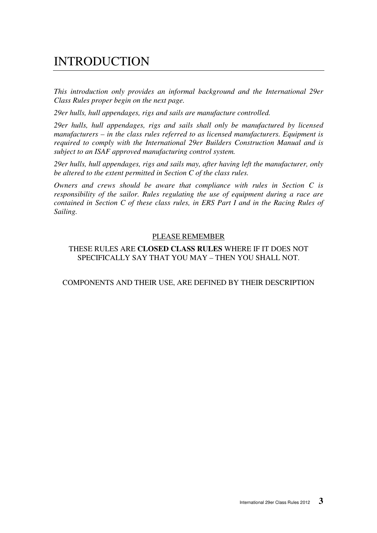# INTRODUCTION

*This introduction only provides an informal background and the International 29er Class Rules proper begin on the next page.* 

*29er hulls, hull appendages, rigs and sails are manufacture controlled.* 

*29er hulls, hull appendages, rigs and sails shall only be manufactured by licensed manufacturers – in the class rules referred to as licensed manufacturers. Equipment is required to comply with the International 29er Builders Construction Manual and is subject to an ISAF approved manufacturing control system.* 

*29er hulls, hull appendages, rigs and sails may, after having left the manufacturer, only be altered to the extent permitted in Section C of the class rules.* 

*Owners and crews should be aware that compliance with rules in Section C is responsibility of the sailor. Rules regulating the use of equipment during a race are contained in Section C of these class rules, in ERS Part I and in the Racing Rules of Sailing.* 

#### PLEASE REMEMBER

THESE RULES ARE **CLOSED CLASS RULES** WHERE IF IT DOES NOT SPECIFICALLY SAY THAT YOU MAY – THEN YOU SHALL NOT.

#### COMPONENTS AND THEIR USE, ARE DEFINED BY THEIR DESCRIPTION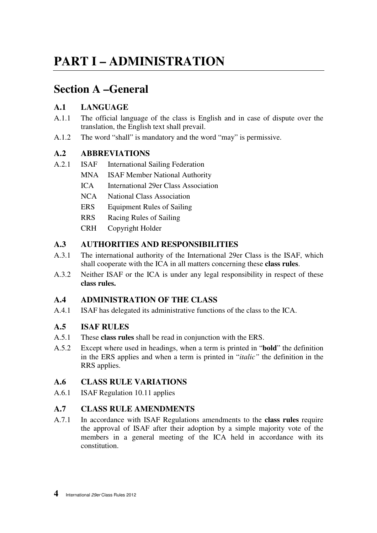# **PART I – ADMINISTRATION**

# **Section A –General**

# **A.1 LANGUAGE**

- A.1.1 The official language of the class is English and in case of dispute over the translation, the English text shall prevail.
- A.1.2 The word "shall" is mandatory and the word "may" is permissive.

# **A.2 ABBREVIATIONS**

- A.2.1 ISAF International Sailing Federation
	- MNA ISAF Member National Authority
		- ICA International 29er Class Association
	- NCA National Class Association
	- ERS Equipment Rules of Sailing
	- RRS Racing Rules of Sailing
	- CRH Copyright Holder

# **A.3 AUTHORITIES AND RESPONSIBILITIES**

- A.3.1 The international authority of the International 29er Class is the ISAF, which shall cooperate with the ICA in all matters concerning these **class rules**.
- A.3.2 Neither ISAF or the ICA is under any legal responsibility in respect of these **class rules.**

# **A.4 ADMINISTRATION OF THE CLASS**

A.4.1 ISAF has delegated its administrative functions of the class to the ICA.

# **A.5 ISAF RULES**

- A.5.1 These **class rules** shall be read in conjunction with the ERS.
- A.5.2 Except where used in headings, when a term is printed in "**bold**" the definition in the ERS applies and when a term is printed in "*italic"* the definition in the RRS applies.

# **A.6 CLASS RULE VARIATIONS**

A.6.1 ISAF Regulation 10.11 applies

# **A.7 CLASS RULE AMENDMENTS**

A.7.1 In accordance with ISAF Regulations amendments to the **class rules** require the approval of ISAF after their adoption by a simple majority vote of the members in a general meeting of the ICA held in accordance with its constitution.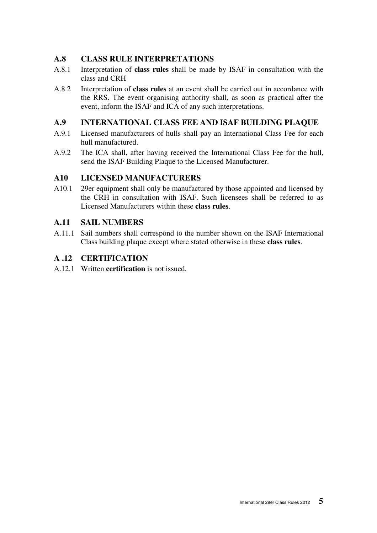#### **A.8 CLASS RULE INTERPRETATIONS**

- A.8.1 Interpretation of **class rules** shall be made by ISAF in consultation with the class and CRH
- A.8.2 Interpretation of **class rules** at an event shall be carried out in accordance with the RRS. The event organising authority shall, as soon as practical after the event, inform the ISAF and ICA of any such interpretations.

# **A.9 INTERNATIONAL CLASS FEE AND ISAF BUILDING PLAQUE**

- A.9.1 Licensed manufacturers of hulls shall pay an International Class Fee for each hull manufactured.
- A.9.2 The ICA shall, after having received the International Class Fee for the hull, send the ISAF Building Plaque to the Licensed Manufacturer.

# **A10 LICENSED MANUFACTURERS**

A10.1 29er equipment shall only be manufactured by those appointed and licensed by the CRH in consultation with ISAF. Such licensees shall be referred to as Licensed Manufacturers within these **class rules**.

#### **A.11 SAIL NUMBERS**

A.11.1 Sail numbers shall correspond to the number shown on the ISAF International Class building plaque except where stated otherwise in these **class rules**.

#### **A .12 CERTIFICATION**

A.12.1 Written **certification** is not issued.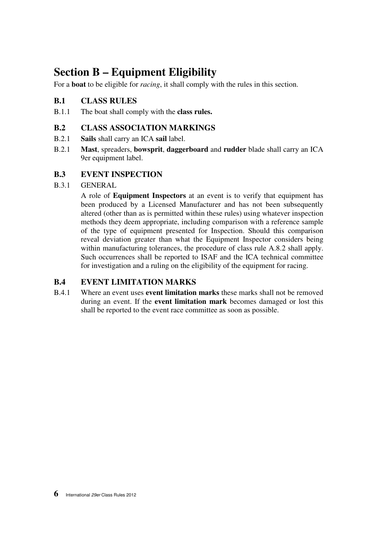# **Section B – Equipment Eligibility**

For a **boat** to be eligible for *racing*, it shall comply with the rules in this section.

## **B.1 CLASS RULES**

B.1.1 The boat shall comply with the **class rules.** 

#### **B.2 CLASS ASSOCIATION MARKINGS**

- B.2.1 **Sails** shall carry an ICA **sail** label.
- B.2.1 **Mast**, spreaders, **bowsprit**, **daggerboard** and **rudder** blade shall carry an ICA 9er equipment label.

#### **B.3 EVENT INSPECTION**

B.3.1 GENERAL

 A role of **Equipment Inspectors** at an event is to verify that equipment has been produced by a Licensed Manufacturer and has not been subsequently altered (other than as is permitted within these rules) using whatever inspection methods they deem appropriate, including comparison with a reference sample of the type of equipment presented for Inspection. Should this comparison reveal deviation greater than what the Equipment Inspector considers being within manufacturing tolerances, the procedure of class rule A.8.2 shall apply. Such occurrences shall be reported to ISAF and the ICA technical committee for investigation and a ruling on the eligibility of the equipment for racing.

#### **B.4 EVENT LIMITATION MARKS**

B.4.1 Where an event uses **event limitation marks** these marks shall not be removed during an event. If the **event limitation mark** becomes damaged or lost this shall be reported to the event race committee as soon as possible.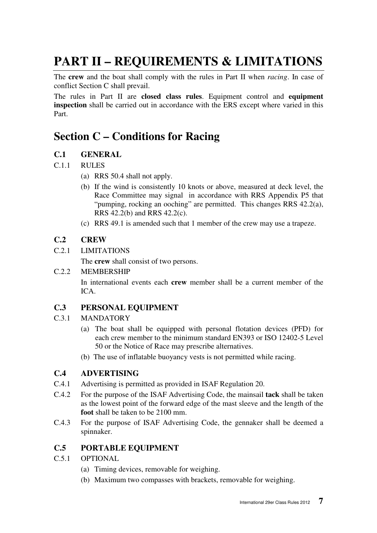# **PART II – REQUIREMENTS & LIMITATIONS**

The **crew** and the boat shall comply with the rules in Part II when *racing*. In case of conflict Section C shall prevail.

The rules in Part II are **closed class rules**. Equipment control and **equipment inspection** shall be carried out in accordance with the ERS except where varied in this Part.

# **Section C – Conditions for Racing**

# **C.1 GENERAL**

#### C.1.1 RULES

- (a) RRS 50.4 shall not apply.
- (b) If the wind is consistently 10 knots or above, measured at deck level, the Race Committee may signal in accordance with RRS Appendix P5 that "pumping, rocking an ooching" are permitted. This changes RRS 42.2(a), RRS 42.2(b) and RRS 42.2(c).
- (c) RRS 49.1 is amended such that 1 member of the crew may use a trapeze.

#### **C.2 CREW**

C.2.1 LIMITATIONS

The **crew** shall consist of two persons.

#### C.2.2 MEMBERSHIP

 In international events each **crew** member shall be a current member of the ICA.

# **C.3 PERSONAL EQUIPMENT**

#### C.3.1 MANDATORY

- (a) The boat shall be equipped with personal flotation devices (PFD) for each crew member to the minimum standard EN393 or ISO 12402-5 Level 50 or the Notice of Race may prescribe alternatives.
- (b) The use of inflatable buoyancy vests is not permitted while racing.

# **C.4 ADVERTISING**

- C.4.1 Advertising is permitted as provided in ISAF Regulation 20.
- C.4.2 For the purpose of the ISAF Advertising Code, the mainsail **tack** shall be taken as the lowest point of the forward edge of the mast sleeve and the length of the **foot** shall be taken to be 2100 mm.
- C.4.3 For the purpose of ISAF Advertising Code, the gennaker shall be deemed a spinnaker.

# **C.5 PORTABLE EQUIPMENT**

- C.5.1 OPTIONAL
	- (a) Timing devices, removable for weighing.
	- (b) Maximum two compasses with brackets, removable for weighing.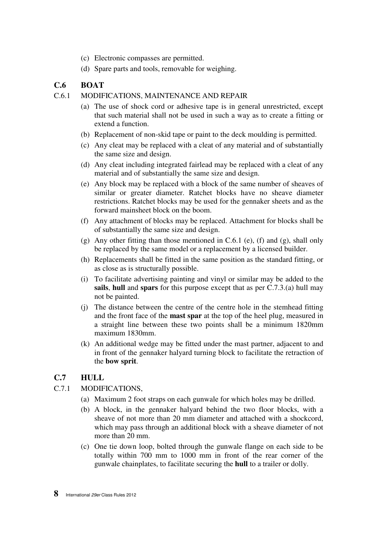- (c) Electronic compasses are permitted.
- (d) Spare parts and tools, removable for weighing.

### **C.6 BOAT**

#### C.6.1 MODIFICATIONS, MAINTENANCE AND REPAIR

- (a) The use of shock cord or adhesive tape is in general unrestricted, except that such material shall not be used in such a way as to create a fitting or extend a function.
- (b) Replacement of non-skid tape or paint to the deck moulding is permitted.
- (c) Any cleat may be replaced with a cleat of any material and of substantially the same size and design.
- (d) Any cleat including integrated fairlead may be replaced with a cleat of any material and of substantially the same size and design.
- (e) Any block may be replaced with a block of the same number of sheaves of similar or greater diameter. Ratchet blocks have no sheave diameter restrictions. Ratchet blocks may be used for the gennaker sheets and as the forward mainsheet block on the boom.
- (f) Any attachment of blocks may be replaced. Attachment for blocks shall be of substantially the same size and design.
- (g) Any other fitting than those mentioned in C.6.1 (e), (f) and (g), shall only be replaced by the same model or a replacement by a licensed builder.
- (h) Replacements shall be fitted in the same position as the standard fitting, or as close as is structurally possible.
- (i) To facilitate advertising painting and vinyl or similar may be added to the **sails**, **hull** and **spars** for this purpose except that as per C.7.3.(a) hull may not be painted.
- (j) The distance between the centre of the centre hole in the stemhead fitting and the front face of the **mast spar** at the top of the heel plug, measured in a straight line between these two points shall be a minimum 1820mm maximum 1830mm.
- (k) An additional wedge may be fitted under the mast partner, adjacent to and in front of the gennaker halyard turning block to facilitate the retraction of the **bow sprit**.

#### **C.7 HULL**

#### C.7.1 MODIFICATIONS,

- (a) Maximum 2 foot straps on each gunwale for which holes may be drilled.
- (b) A block, in the gennaker halyard behind the two floor blocks, with a sheave of not more than 20 mm diameter and attached with a shockcord, which may pass through an additional block with a sheave diameter of not more than 20 mm.
- (c) One tie down loop, bolted through the gunwale flange on each side to be totally within 700 mm to 1000 mm in front of the rear corner of the gunwale chainplates, to facilitate securing the **hull** to a trailer or dolly.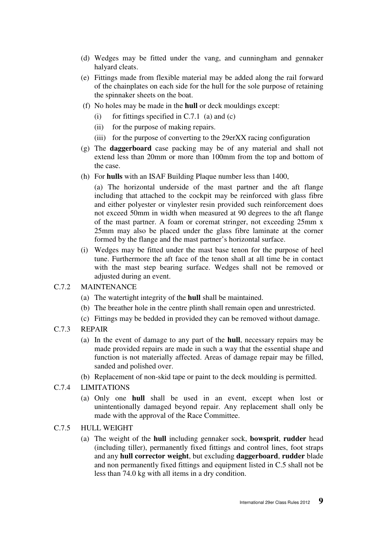- (d) Wedges may be fitted under the vang, and cunningham and gennaker halyard cleats.
- (e) Fittings made from flexible material may be added along the rail forward of the chainplates on each side for the hull for the sole purpose of retaining the spinnaker sheets on the boat.
- (f) No holes may be made in the **hull** or deck mouldings except:
	- (i) for fittings specified in  $C.7.1$  (a) and (c)
	- (ii) for the purpose of making repairs.
	- (iii) for the purpose of converting to the 29erXX racing configuration
- (g) The **daggerboard** case packing may be of any material and shall not extend less than 20mm or more than 100mm from the top and bottom of the case.
- (h) For **hulls** with an ISAF Building Plaque number less than 1400,

 (a) The horizontal underside of the mast partner and the aft flange including that attached to the cockpit may be reinforced with glass fibre and either polyester or vinylester resin provided such reinforcement does not exceed 50mm in width when measured at 90 degrees to the aft flange of the mast partner. A foam or coremat stringer, not exceeding 25mm x 25mm may also be placed under the glass fibre laminate at the corner formed by the flange and the mast partner's horizontal surface.

(i) Wedges may be fitted under the mast base tenon for the purpose of heel tune. Furthermore the aft face of the tenon shall at all time be in contact with the mast step bearing surface. Wedges shall not be removed or adjusted during an event.

#### C.7.2 MAINTENANCE

- (a) The watertight integrity of the **hull** shall be maintained.
- (b) The breather hole in the centre plinth shall remain open and unrestricted.
- (c) Fittings may be bedded in provided they can be removed without damage.

#### C.7.3 REPAIR

- (a) In the event of damage to any part of the **hull**, necessary repairs may be made provided repairs are made in such a way that the essential shape and function is not materially affected. Areas of damage repair may be filled, sanded and polished over.
- (b) Replacement of non-skid tape or paint to the deck moulding is permitted.
- C.7.4 LIMITATIONS
	- (a) Only one **hull** shall be used in an event, except when lost or unintentionally damaged beyond repair. Any replacement shall only be made with the approval of the Race Committee.

#### C.7.5 HULL WEIGHT

(a) The weight of the **hull** including gennaker sock, **bowsprit**, **rudder** head (including tiller), permanently fixed fittings and control lines, foot straps and any **hull corrector weight**, but excluding **daggerboard**, **rudder** blade and non permanently fixed fittings and equipment listed in C.5 shall not be less than 74.0 kg with all items in a dry condition.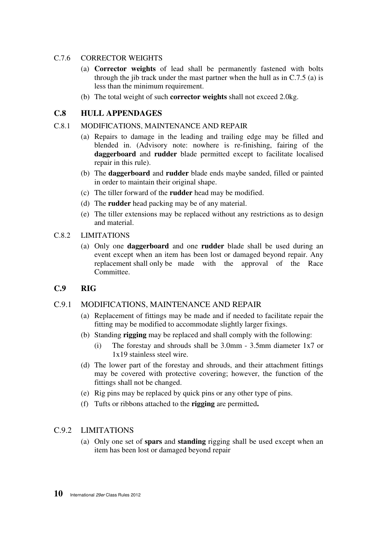#### C.7.6 CORRECTOR WEIGHTS

- (a) **Corrector weights** of lead shall be permanently fastened with bolts through the jib track under the mast partner when the hull as in C.7.5 (a) is less than the minimum requirement.
- (b) The total weight of such **corrector weights** shall not exceed 2.0kg.

#### **C.8 HULL APPENDAGES**

#### C.8.1 MODIFICATIONS, MAINTENANCE AND REPAIR

- (a) Repairs to damage in the leading and trailing edge may be filled and blended in. (Advisory note: nowhere is re-finishing, fairing of the **daggerboard** and **rudder** blade permitted except to facilitate localised repair in this rule).
- (b) The **daggerboard** and **rudder** blade ends maybe sanded, filled or painted in order to maintain their original shape.
- (c) The tiller forward of the **rudder** head may be modified.
- (d) The **rudder** head packing may be of any material.
- (e) The tiller extensions may be replaced without any restrictions as to design and material.

#### C.8.2 LIMITATIONS

(a) Only one **daggerboard** and one **rudder** blade shall be used during an event except when an item has been lost or damaged beyond repair. Any replacement shall only be made with the approval of the Race Committee.

#### **C.9 RIG**

### C.9.1 MODIFICATIONS, MAINTENANCE AND REPAIR

- (a) Replacement of fittings may be made and if needed to facilitate repair the fitting may be modified to accommodate slightly larger fixings.
- (b) Standing **rigging** may be replaced and shall comply with the following:
	- (i) The forestay and shrouds shall be 3.0mm 3.5mm diameter 1x7 or 1x19 stainless steel wire.
- (d) The lower part of the forestay and shrouds, and their attachment fittings may be covered with protective covering; however, the function of the fittings shall not be changed.
- (e) Rig pins may be replaced by quick pins or any other type of pins.
- (f) Tufts or ribbons attached to the **rigging** are permitted**.**

#### C.9.2 LIMITATIONS

(a) Only one set of **spars** and **standing** rigging shall be used except when an item has been lost or damaged beyond repair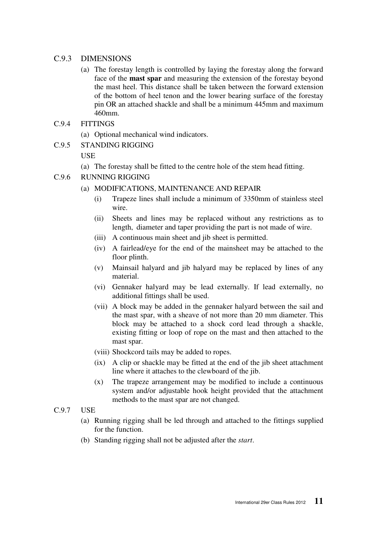#### C.9.3 DIMENSIONS

- (a) The forestay length is controlled by laying the forestay along the forward face of the **mast spar** and measuring the extension of the forestay beyond the mast heel. This distance shall be taken between the forward extension of the bottom of heel tenon and the lower bearing surface of the forestay pin OR an attached shackle and shall be a minimum 445mm and maximum 460mm.
- C.9.4 FITTINGS
	- (a) Optional mechanical wind indicators.

#### C.9.5 STANDING RIGGING

**USE** 

- (a) The forestay shall be fitted to the centre hole of the stem head fitting.
- C.9.6 RUNNING RIGGING
	- (a) MODIFICATIONS, MAINTENANCE AND REPAIR
		- (i) Trapeze lines shall include a minimum of 3350mm of stainless steel wire.
		- (ii) Sheets and lines may be replaced without any restrictions as to length, diameter and taper providing the part is not made of wire.
		- (iii) A continuous main sheet and jib sheet is permitted.
		- (iv) A fairlead/eye for the end of the mainsheet may be attached to the floor plinth.
		- (v) Mainsail halyard and jib halyard may be replaced by lines of any material.
		- (vi) Gennaker halyard may be lead externally. If lead externally, no additional fittings shall be used.
		- (vii) A block may be added in the gennaker halyard between the sail and the mast spar, with a sheave of not more than 20 mm diameter. This block may be attached to a shock cord lead through a shackle, existing fitting or loop of rope on the mast and then attached to the mast spar.
		- (viii) Shockcord tails may be added to ropes.
		- (ix) A clip or shackle may be fitted at the end of the jib sheet attachment line where it attaches to the clewboard of the jib.
		- (x) The trapeze arrangement may be modified to include a continuous system and/or adjustable hook height provided that the attachment methods to the mast spar are not changed.
- C.9.7 USE
	- (a) Running rigging shall be led through and attached to the fittings supplied for the function.
	- (b) Standing rigging shall not be adjusted after the *start*.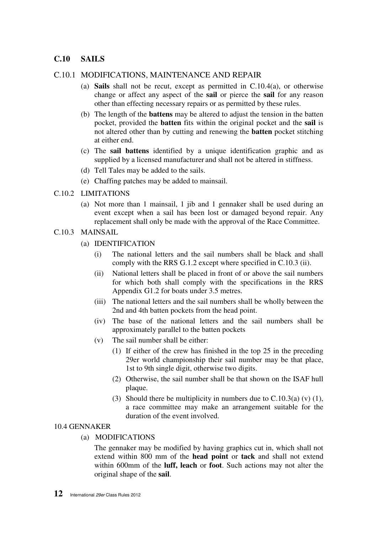#### **C.10 SAILS**

#### C.10.1 MODIFICATIONS, MAINTENANCE AND REPAIR

- (a) **Sails** shall not be recut, except as permitted in C.10.4(a), or otherwise change or affect any aspect of the **sail** or pierce the **sail** for any reason other than effecting necessary repairs or as permitted by these rules.
- (b) The length of the **battens** may be altered to adjust the tension in the batten pocket, provided the **batten** fits within the original pocket and the **sail** is not altered other than by cutting and renewing the **batten** pocket stitching at either end.
- (c) The **sail battens** identified by a unique identification graphic and as supplied by a licensed manufacturer and shall not be altered in stiffness.
- (d) Tell Tales may be added to the sails.
- (e) Chaffing patches may be added to mainsail.
- C.10.2 LIMITATIONS
	- (a) Not more than 1 mainsail, 1 jib and 1 gennaker shall be used during an event except when a sail has been lost or damaged beyond repair. Any replacement shall only be made with the approval of the Race Committee.
- C.10.3 MAINSAIL
	- (a) IDENTIFICATION
		- (i) The national letters and the sail numbers shall be black and shall comply with the RRS G.1.2 except where specified in C.10.3 (ii).
		- (ii) National letters shall be placed in front of or above the sail numbers for which both shall comply with the specifications in the RRS Appendix G1.2 for boats under 3.5 metres.
		- (iii) The national letters and the sail numbers shall be wholly between the 2nd and 4th batten pockets from the head point.
		- (iv) The base of the national letters and the sail numbers shall be approximately parallel to the batten pockets
		- (v) The sail number shall be either:
			- (1) If either of the crew has finished in the top 25 in the preceding 29er world championship their sail number may be that place, 1st to 9th single digit, otherwise two digits.
			- (2) Otherwise, the sail number shall be that shown on the ISAF hull plaque.
			- (3) Should there be multiplicity in numbers due to  $C.10.3(a)$  (v) (1), a race committee may make an arrangement suitable for the duration of the event involved.

#### 10.4 GENNAKER

(a) MODIFICATIONS

 The gennaker may be modified by having graphics cut in, which shall not extend within 800 mm of the **head point** or **tack** and shall not extend within 600mm of the **luff, leach** or **foot**. Such actions may not alter the original shape of the **sail**.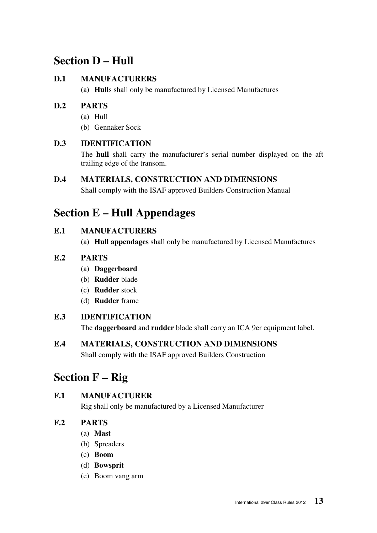# **Section D – Hull**

# **D.1 MANUFACTURERS**

(a) **Hull**s shall only be manufactured by Licensed Manufactures

# **D.2 PARTS**

- (a) Hull
- (b) Gennaker Sock

# **D.3 IDENTIFICATION**

 The **hull** shall carry the manufacturer's serial number displayed on the aft trailing edge of the transom.

### **D.4 MATERIALS, CONSTRUCTION AND DIMENSIONS**

Shall comply with the ISAF approved Builders Construction Manual

# **Section E – Hull Appendages**

# **E.1 MANUFACTURERS**

(a) **Hull appendages** shall only be manufactured by Licensed Manufactures

# **E.2 PARTS**

- (a) **Daggerboard**
- (b) **Rudder** blade
- (c) **Rudder** stock
- (d) **Rudder** frame

# **E.3 IDENTIFICATION**

The **daggerboard** and **rudder** blade shall carry an ICA 9er equipment label.

# **E.4 MATERIALS, CONSTRUCTION AND DIMENSIONS**

Shall comply with the ISAF approved Builders Construction

# **Section F – Rig**

# **F.1 MANUFACTURER**

Rig shall only be manufactured by a Licensed Manufacturer

# **F.2 PARTS**

- (a) **Mast**
- (b) Spreaders
- (c) **Boom**
- (d) **Bowsprit**
- (e) Boom vang arm